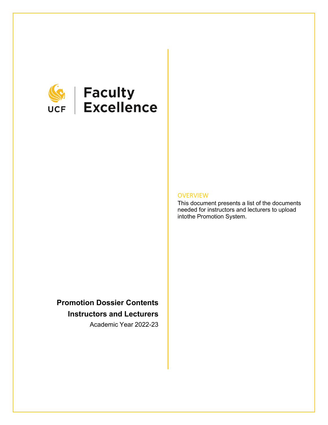

# **SEEP Faculty**<br>UCF Excellence

#### **OVERVIEW**

This document presents a list of the documents needed for instructors and lecturers to upload intothe Promotion System.

## **Promotion Dossier Contents Instructors and Lecturers**

Academic Year 2022-23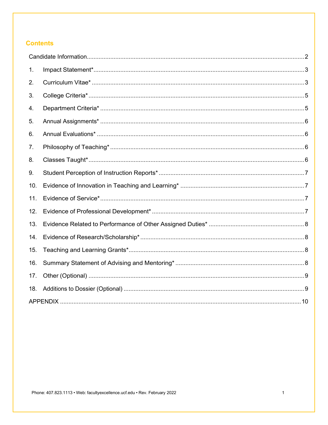#### **Contents**

| 1.  |  |
|-----|--|
| 2.  |  |
| 3.  |  |
| 4.  |  |
| 5.  |  |
| 6.  |  |
| 7.  |  |
| 8.  |  |
| 9.  |  |
| 10. |  |
| 11. |  |
| 12. |  |
| 13. |  |
| 14. |  |
| 15. |  |
| 16. |  |
| 17. |  |
| 18. |  |
|     |  |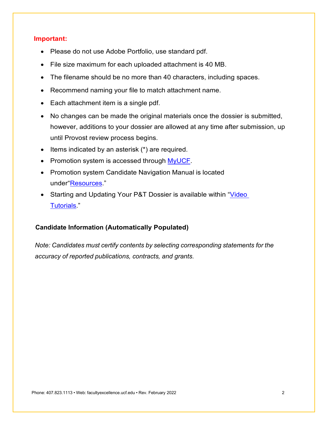#### **Important:**

- Please do not use Adobe Portfolio, use standard pdf.
- File size maximum for each uploaded attachment is 40 MB.
- The filename should be no more than 40 characters, including spaces.
- Recommend naming your file to match attachment name.
- Each attachment item is a single pdf.
- No changes can be made the original materials once the dossier is submitted, however, additions to your dossier are allowed at any time after submission, up until Provost review process begins.
- Items indicated by an asterisk (\*) are required.
- Promotion system is accessed through [MyUCF.](https://my.ucf.edu/psp/IHPROD/EMPLOYEE/EMPL/?cmd=login)
- Promotion system Candidate Navigation Manual is located under["Resources.](https://facultyexcellence.ucf.edu/promotion/)"
- Starting and Updating Your P&T Dossier is available within "Video" [Tutorials.](https://facultyexcellence.ucf.edu/promotion/)"

#### <span id="page-2-0"></span>**Candidate Information (Automatically Populated)**

*Note: Candidates must certify contents by selecting corresponding statements for the accuracy of reported publications, contracts, and grants.*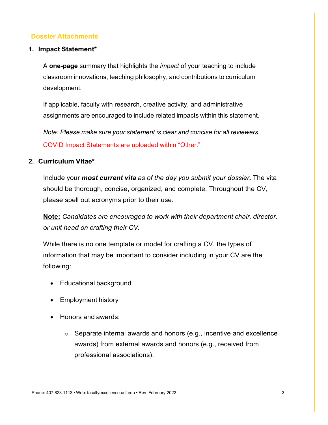#### **Dossier Attachments**

#### <span id="page-3-0"></span>**1. Impact Statement\***

A **one-page** summary that highlights the *impact* of your teaching to include classroom innovations, teaching philosophy, and contributions to curriculum development.

If applicable, faculty with research, creative activity, and administrative assignments are encouraged to include related impacts within this statement.

*Note: Please make sure your statement is clear and concise for all reviewers.* COVID Impact Statements are uploaded within "Other."

#### <span id="page-3-1"></span>**2. Curriculum Vitae\***

Include your *most current vita as of the day you submit your dossier.* The vita should be thorough, concise, organized, and complete. Throughout the CV, please spell out acronyms prior to their use.

**Note:** *Candidates are encouraged to work with their department chair, director, or unit head on crafting their CV.*

While there is no one template or model for crafting a CV, the types of information that may be important to consider including in your CV are the following:

- Educational background
- Employment history
- Honors and awards:
	- $\circ$  Separate internal awards and honors (e.g., incentive and excellence awards) from external awards and honors (e.g., received from professional associations).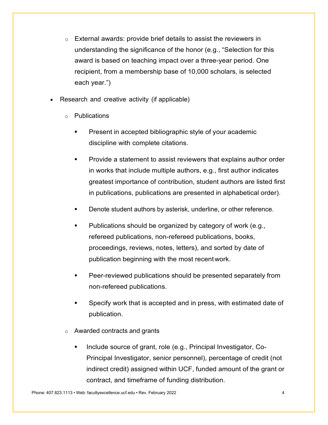- o External awards: provide brief details to assist the reviewers in understanding the significance of the honor (e.g., "Selection for this award is based on teaching impact over a three-year period. One recipient, from a membership base of 10,000 scholars, is selected each year.")
- Research and creative activity (if applicable)
	- o Publications
		- Present in accepted bibliographic style of your academic discipline with complete citations.
		- Provide a statement to assist reviewers that explains author order in works that include multiple authors, e.g., first author indicates greatest importance of contribution, student authors are listed first in publications, publications are presented in alphabetical order).
		- **Denote student authors by asterisk, underline, or other reference.**
		- Publications should be organized by category of work (e.g., refereed publications, non-refereed publications, books, proceedings, reviews, notes, letters), and sorted by date of publication beginning with the most recentwork.
		- Peer-reviewed publications should be presented separately from non-refereed publications.
		- Specify work that is accepted and in press, with estimated date of publication.
	- Awarded contracts and grants
		- Include source of grant, role (e.g., Principal Investigator, Co-Principal Investigator, senior personnel), percentage of credit (not indirect credit) assigned within UCF, funded amount of the grant or contract, and timeframe of funding distribution.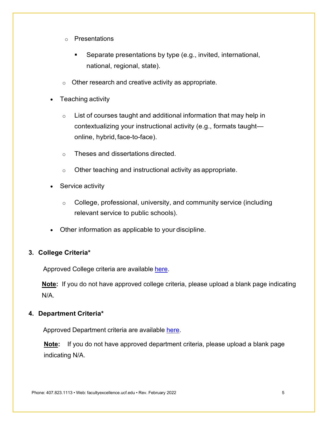- o Presentations
	- Separate presentations by type (e.g., invited, international, national, regional, state).
- $\circ$  Other research and creative activity as appropriate.
- Teaching activity
	- $\circ$  List of courses taught and additional information that may help in contextualizing your instructional activity (e.g., formats taught online, hybrid, face-to-face).
	- o Theses and dissertations directed.
	- $\circ$  Other teaching and instructional activity as appropriate.
- Service activity
	- $\circ$  College, professional, university, and community service (including relevant service to public schools).
- Other information as applicable to your discipline.

#### <span id="page-5-0"></span>**3. College Criteria\***

Approved College criteria are available [here.](https://facultyexcellence.ucf.edu/promotion/criteria/)

**Note:** If you do not have approved college criteria, please upload a blank page indicating N/A.

#### <span id="page-5-1"></span>**4. Department Criteria\***

Approved Department criteria are available [here.](https://facultyexcellence.ucf.edu/promotion/criteria/)

**Note:** If you do not have approved department criteria, please upload a blank page indicating N/A.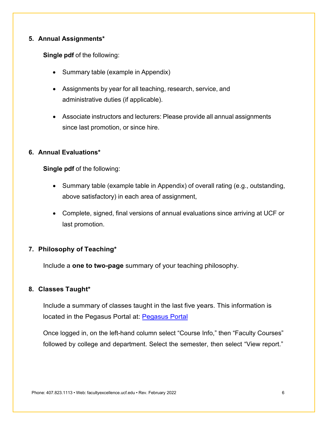#### <span id="page-6-0"></span>**5. Annual Assignments\***

**Single pdf** of the following:

- Summary table (example in Appendix)
- Assignments by year for all teaching, research, service, and administrative duties (if applicable).
- Associate instructors and lecturers: Please provide all annual assignments since last promotion, or since hire.

#### <span id="page-6-1"></span>**6. Annual Evaluations\***

**Single pdf** of the following:

- Summary table (example table in Appendix) of overall rating (e.g., outstanding, above satisfactory) in each area of assignment,
- Complete, signed, final versions of annual evaluations since arriving at UCF or last promotion.

#### <span id="page-6-2"></span>**7. Philosophy of Teaching\***

Include a **one to two-page** summary of your teaching philosophy.

#### <span id="page-6-3"></span>**8. Classes Taught\***

Include a summary of classes taught in the last five years. This information is located in the Pegasus Portal at: [Pegasus](https://pegmineprod.ikm.ucf.edu/SASLogon/login?service=https%3A%2F%2Fpegmineprod.ikm.ucf.edu%2FSASPortal%2Fj_spring_cas_security_check) Portal

Once logged in, on the left-hand column select "Course Info," then "Faculty Courses" followed by college and department. Select the semester, then select "View report."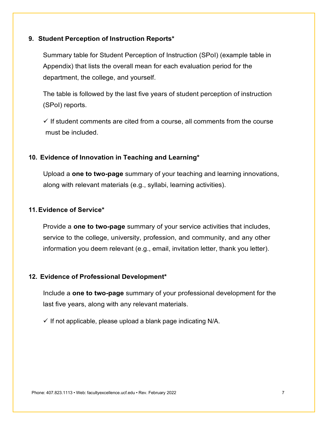#### <span id="page-7-0"></span>**9. Student Perception of Instruction Reports\***

Summary table for Student Perception of Instruction (SPoI) (example table in Appendix) that lists the overall mean for each evaluation period for the department, the college, and yourself.

The table is followed by the last five years of student perception of instruction (SPoI) reports.

 $\checkmark$  If student comments are cited from a course, all comments from the course must be included.

#### <span id="page-7-1"></span>**10. Evidence of Innovation in Teaching and Learning\***

Upload a **one to two-page** summary of your teaching and learning innovations, along with relevant materials (e.g., syllabi, learning activities).

#### <span id="page-7-2"></span>**11.Evidence of Service\***

Provide a **one to two-page** summary of your service activities that includes, service to the college, university, profession, and community, and any other information you deem relevant (e.g., email, invitation letter, thank you letter).

#### <span id="page-7-3"></span>**12. Evidence of Professional Development\***

Include a **one to two-page** summary of your professional development for the last five years, along with any relevant materials.

 $\checkmark$  If not applicable, please upload a blank page indicating N/A.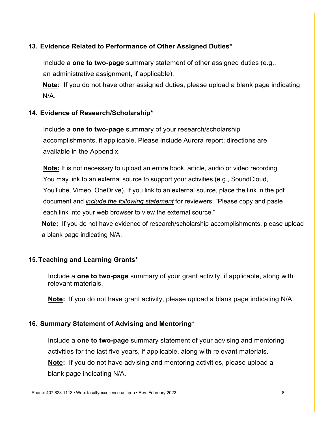#### <span id="page-8-0"></span>**13. Evidence Related to Performance of Other Assigned Duties\***

Include a **one to two-page** summary statement of other assigned duties (e.g., an administrative assignment, if applicable).

**Note:** If you do not have other assigned duties, please upload a blank page indicating N/A.

#### <span id="page-8-1"></span>**14. Evidence of Research/Scholarship\***

Include a **one to two-page** summary of your research/scholarship accomplishments, if applicable. Please include Aurora report; directions are available in the Appendix.

**Note:** It is not necessary to upload an entire book, article, audio or video recording. You may link to an external source to support your activities (e.g., SoundCloud, YouTube, Vimeo, OneDrive). If you link to an external source, place the link in the pdf document and *include the following statement* for reviewers: "Please copy and paste each link into your web browser to view the external source."

**Note:** If you do not have evidence of research/scholarship accomplishments, please upload a blank page indicating N/A.

#### <span id="page-8-2"></span>**15.Teaching and Learning Grants\***

Include a **one to two-page** summary of your grant activity, if applicable, along with relevant materials.

**Note:** If you do not have grant activity, please upload a blank page indicating N/A.

#### <span id="page-8-3"></span>**16. Summary Statement of Advising and Mentoring\***

Include a **one to two-page** summary statement of your advising and mentoring activities for the last five years, if applicable, along with relevant materials. **Note:** If you do not have advising and mentoring activities, please upload a blank page indicating N/A.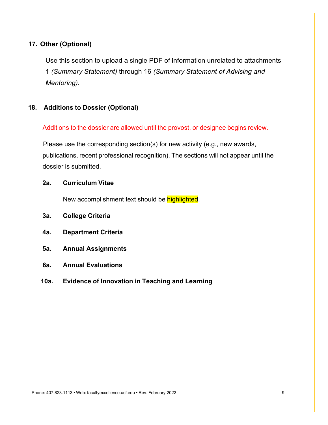#### <span id="page-9-0"></span>**17. Other (Optional)**

Use this section to upload a single PDF of information unrelated to attachments 1 *(Summary Statement)* through 16 *(Summary Statement of Advising and Mentoring).*

#### <span id="page-9-1"></span>**18. Additions to Dossier (Optional)**

Additions to the dossier are allowed until the provost, or designee begins review.

Please use the corresponding section(s) for new activity (e.g., new awards, publications, recent professional recognition). The sections will not appear until the dossier is submitted.

#### **2a. Curriculum Vitae**

New accomplishment text should be highlighted.

- **3a. College Criteria**
- **4a. Department Criteria**
- **5a. Annual Assignments**
- **6a. Annual Evaluations**
- **10a. Evidence of Innovation in Teaching and Learning**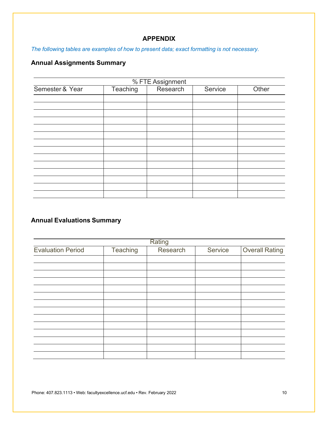#### **APPENDIX**

<span id="page-10-0"></span>*The following tables are examples of how to present data; exact formatting is not necessary.*

#### **Annual Assignments Summary**

|                 |          | % FTE Assignment |         |       |
|-----------------|----------|------------------|---------|-------|
| Semester & Year | Teaching | Research         | Service | Other |
|                 |          |                  |         |       |
|                 |          |                  |         |       |
|                 |          |                  |         |       |
|                 |          |                  |         |       |
|                 |          |                  |         |       |
|                 |          |                  |         |       |
|                 |          |                  |         |       |
|                 |          |                  |         |       |
|                 |          |                  |         |       |
|                 |          |                  |         |       |
|                 |          |                  |         |       |
|                 |          |                  |         |       |
|                 |          |                  |         |       |

#### **Annual Evaluations Summary**

|                          |          | Rating   |         |                       |
|--------------------------|----------|----------|---------|-----------------------|
| <b>Evaluation Period</b> | Teaching | Research | Service | <b>Overall Rating</b> |
|                          |          |          |         |                       |
|                          |          |          |         |                       |
|                          |          |          |         |                       |
|                          |          |          |         |                       |
|                          |          |          |         |                       |
|                          |          |          |         |                       |
|                          |          |          |         |                       |
|                          |          |          |         |                       |
|                          |          |          |         |                       |
|                          |          |          |         |                       |
|                          |          |          |         |                       |
|                          |          |          |         |                       |
|                          |          |          |         |                       |

Phone: 407.823.1113 • Web: facultyexcellence.ucf.edu • Rev. February 2022 10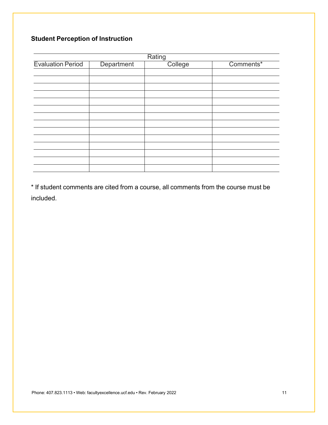### **Student Perception of Instruction**

|                          |            | Rating  |           |
|--------------------------|------------|---------|-----------|
| <b>Evaluation Period</b> | Department | College | Comments* |
|                          |            |         |           |
|                          |            |         |           |
|                          |            |         |           |
|                          |            |         |           |
|                          |            |         |           |
|                          |            |         |           |
|                          |            |         |           |
|                          |            |         |           |
|                          |            |         |           |
|                          |            |         |           |
|                          |            |         |           |
|                          |            |         |           |
|                          |            |         |           |
|                          |            |         |           |

\* If student comments are cited from a course, all comments from the course must be included.